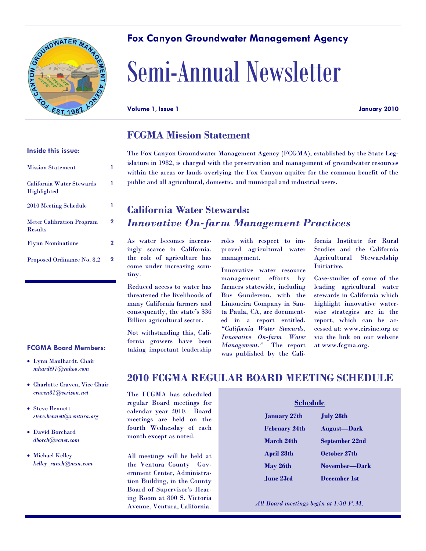

## **Fox Canyon Groundwater Management Agency**

# Semi-Annual Newsletter

**Volume 1, Issue 1 January 2010**

### **FCGMA Mission Statement**

**Inside this issue:**

| <b>Mission Statement</b>                           |   |
|----------------------------------------------------|---|
| <b>California Water Stewards</b><br>Highlighted    |   |
| 2010 Meeting Schedule                              |   |
| <b>Meter Calibration Program</b><br><b>Results</b> | 2 |
| <b>Flynn Nominations</b>                           | 2 |
| Proposed Ordinance No. 8.2                         | 2 |

#### **FCGMA Board Members:**

- Lynn Maulhardt, Chair *mhardt97@yahoo.com*
- Charlotte Craven, Vice Chair *craven31@verizon.net*
- Steve Bennett *steve.bennett@ventura.org*
- David Borchard *dborch@vcnet.com*
- Michael Kelley *kelley\_ranch@msn.com*

The Fox Canyon Groundwater Management Agency (FCGMA), established by the State Legislature in 1982, is charged with the preservation and management of groundwater resources within the areas or lands overlying the Fox Canyon aquifer for the common benefit of the public and all agricultural, domestic, and municipal and industrial users.

# **California Water Stewards:**  *Innovative On-farm Management Practices*

As water becomes increasingly scarce in California, the role of agriculture has come under increasing scrutiny.

Reduced access to water has threatened the livelihoods of many California farmers and consequently, the state's \$36 Billion agricultural sector.

Not withstanding this, California growers have been taking important leadership

roles with respect to improved agricultural water management.

Innovative water resource management efforts by farmers statewide, including Bus Gunderson, with the Limoneira Company in Santa Paula, CA, are documented in a report entitled, *"California Water Stewards, Innovative On-farm Water Management."* The report was published by the California Institute for Rural Studies and the California Agricultural Stewardship Initiative.

Case-studies of some of the leading agricultural water stewards in California which highlight innovative waterwise strategies are in the report, which can be accessed at: www.cirsinc.org or via the link on our website at www.fcgma.org.

# **2010 FCGMA REGULAR BOARD MEETING SCHEDULE**

The FCGMA has scheduled regular Board meetings for calendar year 2010. Board meetings are held on the fourth Wednesday of each month except as noted.

All meetings will be held at the Ventura County Government Center, Administration Building, in the County Board of Supervisor's Hearing Room at 800 S. Victoria Avenue, Ventura, California.

| <b>January 27th</b>  | <b>July 28th</b>   |
|----------------------|--------------------|
| <b>February 24th</b> | <b>August-Dark</b> |
| March 24th           | September 22nd     |
| <b>April 28th</b>    | October 27th       |
| May 26th             | November—Dark      |
| <b>June 23rd</b>     | December 1st       |

*All Board meetings begin at 1:30 P.M.*